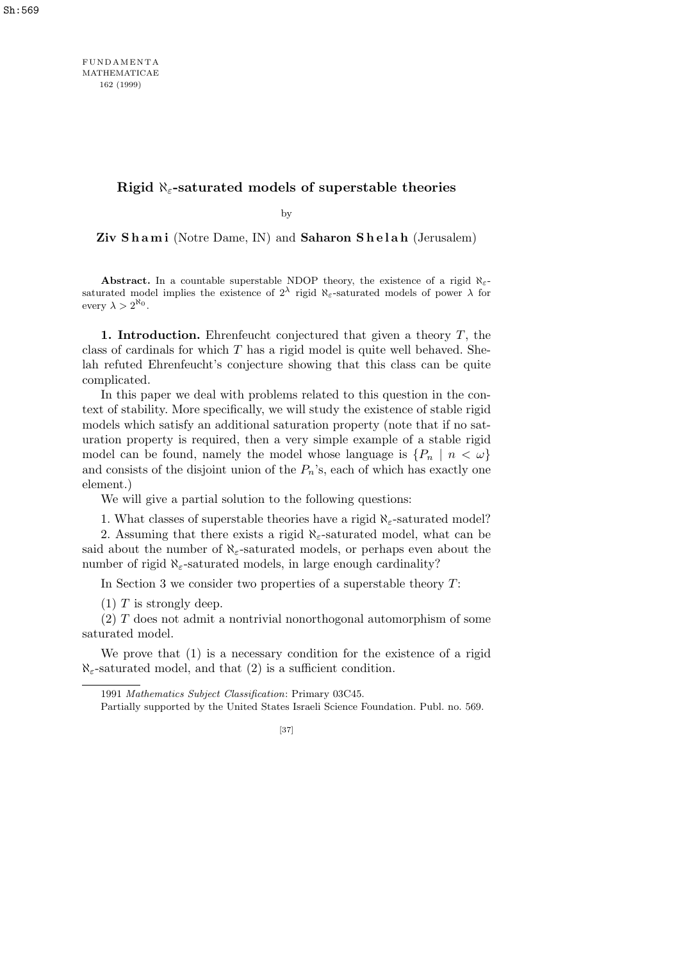FUNDAM ENTA MATHEMATICAE 162 (1999)

**Rigid** *ℵε***-saturated models of superstable theories**

by

Ziv Shami (Notre Dame, IN) and Saharon Shelah (Jerusalem)

**Abstract.** In a countable superstable NDOP theory, the existence of a rigid  $\aleph_{\epsilon}$ saturated model implies the existence of  $2^{\lambda}$  rigid  $\aleph_{\varepsilon}$ -saturated models of power  $\lambda$  for every  $\lambda > 2^{\aleph_0}$ .

**1. Introduction.** Ehrenfeucht conjectured that given a theory *T*, the class of cardinals for which *T* has a rigid model is quite well behaved. Shelah refuted Ehrenfeucht's conjecture showing that this class can be quite complicated.

In this paper we deal with problems related to this question in the context of stability. More specifically, we will study the existence of stable rigid models which satisfy an additional saturation property (note that if no saturation property is required, then a very simple example of a stable rigid model can be found, namely the model whose language is  $\{P_n \mid n < \omega\}$ and consists of the disjoint union of the  $P_n$ 's, each of which has exactly one element.)

We will give a partial solution to the following questions:

1. What classes of superstable theories have a rigid *ℵε*-saturated model?

2. Assuming that there exists a rigid *ℵε*-saturated model, what can be said about the number of  $\aleph_{\varepsilon}$ -saturated models, or perhaps even about the number of rigid  $\aleph_{\varepsilon}$ -saturated models, in large enough cardinality?

In Section 3 we consider two properties of a superstable theory *T*:

(1) *T* is strongly deep.

(2) *T* does not admit a nontrivial nonorthogonal automorphism of some saturated model.

We prove that (1) is a necessary condition for the existence of a rigid  $\aleph_{\epsilon}$ -saturated model, and that (2) is a sufficient condition.

<sup>1991</sup> *Mathematics Subject Classification*: Primary 03C45.

Partially supported by the United States Israeli Science Foundation. Publ. no. 569.

<sup>[37]</sup>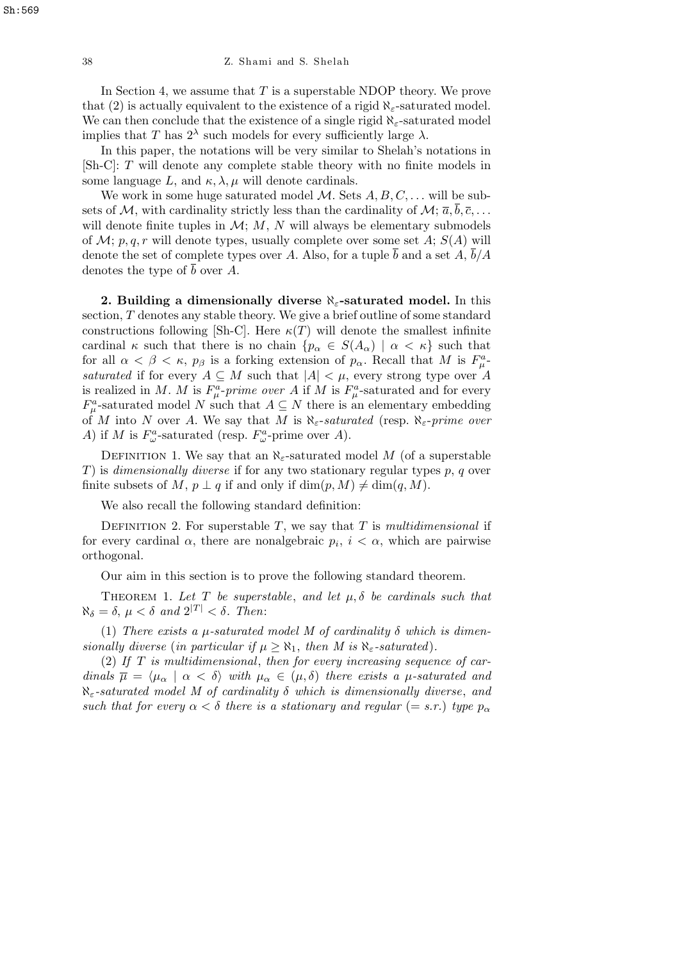In Section 4, we assume that *T* is a superstable NDOP theory. We prove that (2) is actually equivalent to the existence of a rigid  $\aleph_{\varepsilon}$ -saturated model. We can then conclude that the existence of a single rigid *ℵε*-saturated model implies that *T* has  $2^{\lambda}$  such models for every sufficiently large  $\lambda$ .

In this paper, the notations will be very similar to Shelah's notations in [Sh-C]: *T* will denote any complete stable theory with no finite models in some language  $L$ , and  $\kappa$ ,  $\lambda$ ,  $\mu$  will denote cardinals.

We work in some huge saturated model *M*. Sets *A, B, C, . . .* will be subsets of  $M$ , with cardinality strictly less than the cardinality of  $M$ ;  $\bar{a}$ ,  $\bar{b}$ ,  $\bar{c}$ , ... will denote finite tuples in  $M$ ;  $M$ ,  $N$  will always be elementary submodels of  $\mathcal{M}; p, q, r$  will denote types, usually complete over some set  $A; S(A)$  will denote the set of complete types over A. Also, for a tuple  $\bar{b}$  and a set A,  $\bar{b}/A$ denotes the type of  $\bar{b}$  over A.

**2. Building a dimensionally diverse** *ℵε***-saturated model.** In this section, *T* denotes any stable theory. We give a brief outline of some standard constructions following [Sh-C]. Here  $\kappa(T)$  will denote the smallest infinite cardinal  $\kappa$  such that there is no chain  $\{p_{\alpha} \in S(A_{\alpha}) \mid \alpha < \kappa\}$  such that for all  $\alpha < \beta < \kappa$ ,  $p_{\beta}$  is a forking extension of  $p_{\alpha}$ . Recall that M is  $F_{\mu}^{a}$ *saturated* if for every  $A \subseteq M$  such that  $|A| < \mu$ , every strong type over A is realized in *M*. *M* is  $F^a_\mu$ -prime over *A* if *M* is  $F^a_\mu$ -saturated and for every  $F^a_\mu$ -saturated model *N* such that  $A \subseteq N$  there is an elementary embedding of *M* into *N* over *A*. We say that *M* is *ℵε*-*saturated* (resp. *ℵε*-*prime over A*) if *M* is  $F^a_\omega$ -saturated (resp.  $F^a_\omega$ -prime over *A*).

DEFINITION 1. We say that an  $\aleph_{\epsilon}$ -saturated model *M* (of a superstable *T*) is *dimensionally diverse* if for any two stationary regular types *p*, *q* over finite subsets of *M*,  $p \perp q$  if and only if  $\dim(p, M) \neq \dim(q, M)$ .

We also recall the following standard definition:

DEFINITION 2. For superstable  $T$ , we say that  $T$  is *multidimensional* if for every cardinal  $\alpha$ , there are nonalgebraic  $p_i$ ,  $i < \alpha$ , which are pairwise orthogonal.

Our aim in this section is to prove the following standard theorem.

THEOREM 1. Let  $T$  be superstable, and let  $\mu$ ,  $\delta$  be cardinals such that  $\aleph_{\delta} = \delta, \mu < \delta \text{ and } 2^{|T|} < \delta.$  Then:

(1) *There exists a*  $\mu$ *-saturated model M of cardinality*  $\delta$  *which is dimensionally diverse* (*in particular if*  $\mu \geq \aleph_1$ , *then M is*  $\aleph_{\varepsilon}$ -*saturated*).

(2) *If T is multidimensional*, *then for every increasing sequence of cardinals*  $\overline{\mu} = \langle \mu_{\alpha} | \alpha \langle \delta \rangle$  *with*  $\mu_{\alpha} \in (\mu, \delta)$  *there exists a*  $\mu$ *-saturated and ℵε-saturated model M of cardinality δ which is dimensionally diverse*, *and such that for every*  $\alpha < \delta$  *there is a stationary and regular* (= *s.r.*) *type*  $p_{\alpha}$ 

Sh:569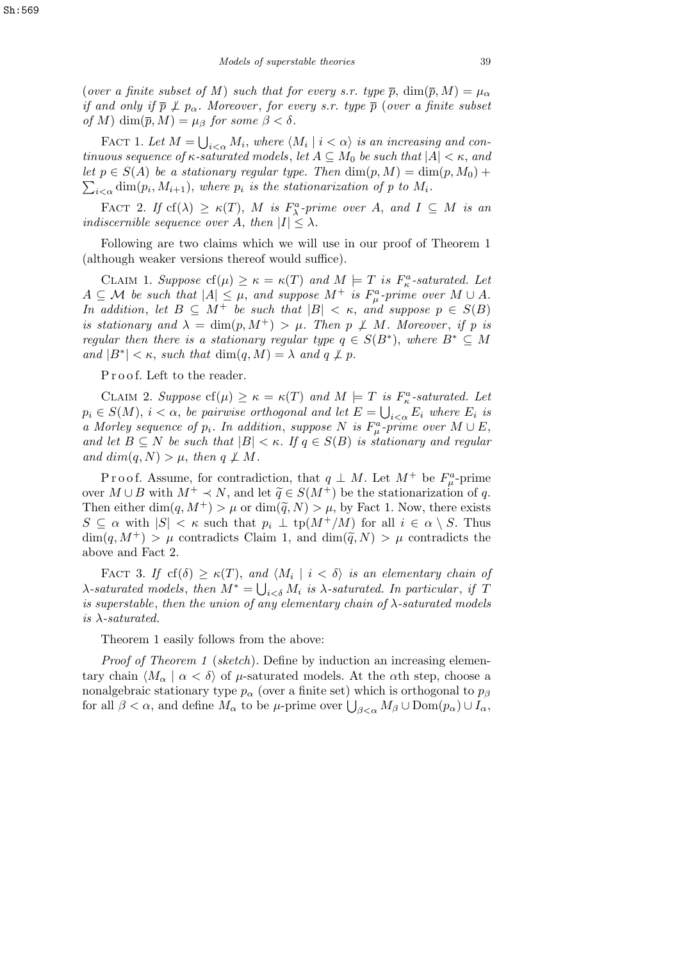(*over a finite subset of M*) *such that for every s.r. type*  $\bar{p}$ ,  $\dim(\bar{p}, M) = \mu_{\alpha}$ *if and only if*  $\bar{p} \not\perp p_{\alpha}$ . Moreover, for every s.r. type  $\bar{p}$  (*over a finite subset of M*) dim( $\bar{p}$ , *M*) =  $\mu_{\beta}$  *for some*  $\beta < \delta$ .

FACT 1. Let  $M =$  $\frac{1}{\sqrt{2}}$  $\sum_{i<\alpha} M_i$ , where  $\langle M_i \mid i<\alpha \rangle$  is an increasing and con*tinuous sequence of*  $\kappa$ -saturated models, let  $A \subseteq M_0$  be such that  $|A| < \kappa$ , and *let*  $p \in S(A)$  *be a stationary regular type. Then*  $\dim(p, M) = \dim(p, M_0) + \sum_{i=1}^{n} p_i$  $\sum_{i \leq \alpha}$  dim $(p_i, M_{i+1})$ , where  $p_i$  is the stationarization of p to  $M_i$ .

FACT 2. *If*  $cf(\lambda) \ge \kappa(T)$ , *M is*  $F_{\lambda}^a$ -prime over *A*, and  $I \subseteq M$  *is an indiscernible sequence over A*, *then*  $|I| \leq \lambda$ *.* 

Following are two claims which we will use in our proof of Theorem 1 (although weaker versions thereof would suffice).

CLAIM 1. *Suppose*  $cf(\mu) \ge \kappa = \kappa(T)$  and  $M \models T$  is  $F_{\kappa}^a$ -saturated. Let  $A \subseteq \mathcal{M}$  *be such that*  $|A| \leq \mu$ , and suppose  $M^+$  *is*  $F^a_\mu$ -prime over  $M \cup A$ . *In addition, let*  $B \subseteq M^+$  *be such that*  $|B| < \kappa$ *, and suppose*  $p \in S(B)$ *is stationary and*  $\lambda = \dim(p, M^+) > \mu$ . Then  $p \not\perp M$ . Moreover, *if*  $p$  *is regular then there is a stationary regular type*  $q \in S(B^*)$ , *where*  $B^* \subseteq M$ *and*  $|B^*| < \kappa$ , *such that* dim $(q, M) = \lambda$  *and*  $q \not\perp p$ *.* 

Proof. Left to the reader.

CLAIM 2. Suppose  $cf(\mu) \geq \kappa = \kappa(T)$  and  $M \models T$  is  $F_{\kappa}^a$ -saturated. Let  $p_i \in S(M)$ ,  $i < \alpha$ , *be pairwise orthogonal and let*  $E = \bigcup_{i < \alpha} E_i$  *where*  $E_i$  *is a* Morley sequence of  $p_i$ . In addition, suppose N is  $F^a_\mu$ -prime over  $M \cup E$ , *and let*  $B \subseteq N$  *be such that*  $|B| < \kappa$ *. If*  $q \in S(B)$  *is stationary and regular*  $and dim(q, N) > \mu$ , *then*  $q \not\perp M$ .

Proof. Assume, for contradiction, that  $q \perp M$ . Let  $M^+$  be  $F^a_\mu$ -prime over  $M \cup B$  with  $M^+ \prec N$ , and let  $\tilde{q} \in S(M^+)$  be the stationarization of *q*. Then either  $\dim(q, M^+) > \mu$  or  $\dim(\tilde{q}, N) > \mu$ , by Fact 1. Now, there exists  $S \subseteq \alpha$  with  $|S| < \kappa$  such that  $p_i \perp \text{tp}(M^+/M)$  for all  $i \in \alpha \setminus S$ . Thus  $\dim(q, M^+) > \mu$  contradicts Claim 1, and  $\dim(\tilde{q}, N) > \mu$  contradicts the above and Fact 2.

FACT 3. If  $cf(\delta) \ge \kappa(T)$ , and  $\langle M_i | i \le \delta \rangle$  is an elementary chain of *λ*-saturated models, then  $M^* = \bigcup_{i < \delta} M_i$  is *λ*-saturated. In particular, if T *is superstable*, *then the union of any elementary chain of λ-saturated models is λ-saturated.*

Theorem 1 easily follows from the above:

*Proof of Theorem 1* (*sketch*). Define by induction an increasing elementary chain  $\langle M_{\alpha} | \alpha \langle \delta \rangle$  of  $\mu$ -saturated models. At the *α*th step, choose a nonalgebraic stationary type  $p_\alpha$  (over a finite set) which is orthogonal to  $p_\beta$ for all  $\beta < \alpha$ , and define  $M_{\alpha}$  to be *µ*-prime over  $\bigcup_{\beta < \alpha} M_{\beta} \cup \text{Dom}(p_{\alpha}) \cup I_{\alpha}$ ,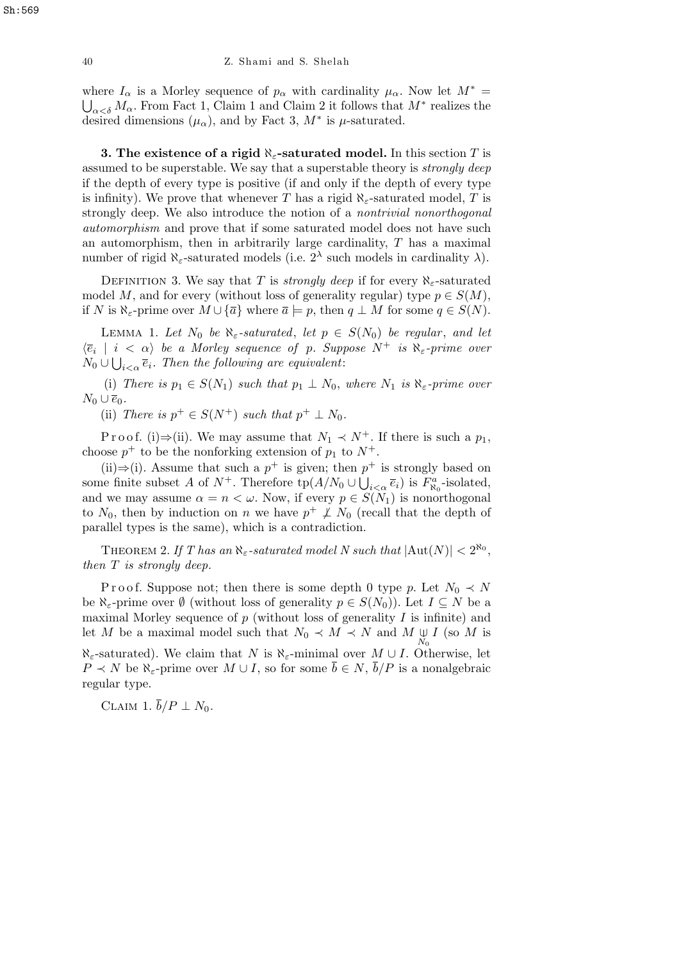where  $I_\alpha$  is a Morley sequence of  $p_\alpha$  with cardinality  $\mu_\alpha$ . Now let  $M^* =$  $a \lt a \delta M$ <sup>*α*</sup>. From Fact 1, Claim 1 and Claim 2 it follows that  $M^*$  realizes the desired dimensions  $(\mu_{\alpha})$ , and by Fact 3,  $M^*$  is  $\mu$ -saturated.

**3. The existence of a rigid** *ℵε***-saturated model.** In this section *T* is assumed to be superstable. We say that a superstable theory is *strongly deep* if the depth of every type is positive (if and only if the depth of every type is infinity). We prove that whenever *T* has a rigid  $\aleph_{\epsilon}$ -saturated model, *T* is strongly deep. We also introduce the notion of a *nontrivial nonorthogonal automorphism* and prove that if some saturated model does not have such an automorphism, then in arbitrarily large cardinality, *T* has a maximal number of rigid  $\aleph_{\varepsilon}$ -saturated models (i.e.  $2^{\lambda}$  such models in cardinality  $\lambda$ ).

DEFINITION 3. We say that *T* is *strongly deep* if for every  $\aleph_{\varepsilon}$ -saturated model *M*, and for every (without loss of generality regular) type  $p \in S(M)$ , if *N* is  $\aleph_{\epsilon}$ -prime over  $M \cup \{\overline{a}\}$  where  $\overline{a} \models p$ , then  $q \perp M$  for some  $q \in S(N)$ .

LEMMA 1. Let  $N_0$  be  $\aleph_{\varepsilon}$ -saturated, let  $p \in S(N_0)$  be regular, and let  $\langle \overline{e}_i | i \langle \alpha \rangle \rangle$  *be a Morley sequence of p. Suppose*  $N^+$  *is*  $\aleph_{\varepsilon}$ -prime over  $N_0 \cup \bigcup_{i < \alpha} \overline{e}_i$ . Then the following are equivalent:

(i) *There is*  $p_1 \in S(N_1)$  *such that*  $p_1 \perp N_0$ *, where*  $N_1$  *is*  $\aleph_{\varepsilon}$ *-prime over*  $N_0$ ∪ $\overline{e}_0$ .

(ii) *There is*  $p^+ \in S(N^+)$  *such that*  $p^+ \perp N_0$ *.* 

P r o o f. (i) $\Rightarrow$ (ii). We may assume that  $N_1 \prec N^+$ . If there is such a  $p_1$ , choose  $p^+$  to be the nonforking extension of  $p_1$  to  $N^+$ .

(ii)⇒(i). Assume that such a  $p^+$  is given; then  $p^+$  is strongly based on some finite subset *A* of  $N^+$ . Therefore  $\text{tp}(A/N_0 \cup \bigcup_{i < \alpha} \overline{e}_i)$  is  $F^a_{\aleph_0}$ -isolated, and we may assume  $\alpha = n < \omega$ . Now, if every  $p \in S(N_1)$  is nonorthogonal to  $N_0$ , then by induction on *n* we have  $p^+ \not\perp N_0$  (recall that the depth of parallel types is the same), which is a contradiction.

THEOREM 2. *If* T has an  $\aleph_{\varepsilon}$ -saturated model N such that  $|\text{Aut}(N)| < 2^{\aleph_0}$ , *then T is strongly deep.*

P r o o f. Suppose not; then there is some depth 0 type *p*. Let  $N_0 \prec N$ be  $\aleph_{\varepsilon}$ -prime over  $\emptyset$  (without loss of generality  $p \in S(N_0)$ ). Let  $I \subseteq N$  be a maximal Morley sequence of *p* (without loss of generality *I* is infinite) and let *M* be a maximal model such that  $N_0 \prec M \prec N$  and  $M \underset{N_0}{\cup} I$  (so *M* is  $\aleph_{\varepsilon}$ -saturated). We claim that *N* is  $\aleph_{\varepsilon}$ -minimal over *M*  $\cup$  *I*. Otherwise, let *P*  $\prec$  *N* be  $\aleph_{\epsilon}$ -prime over *M* ∪ *I*, so for some  $\bar{b} \in N$ ,  $\bar{b}/P$  is a nonalgebraic regular type.

CLAIM 1.  $\overline{b}/P \perp N_0$ .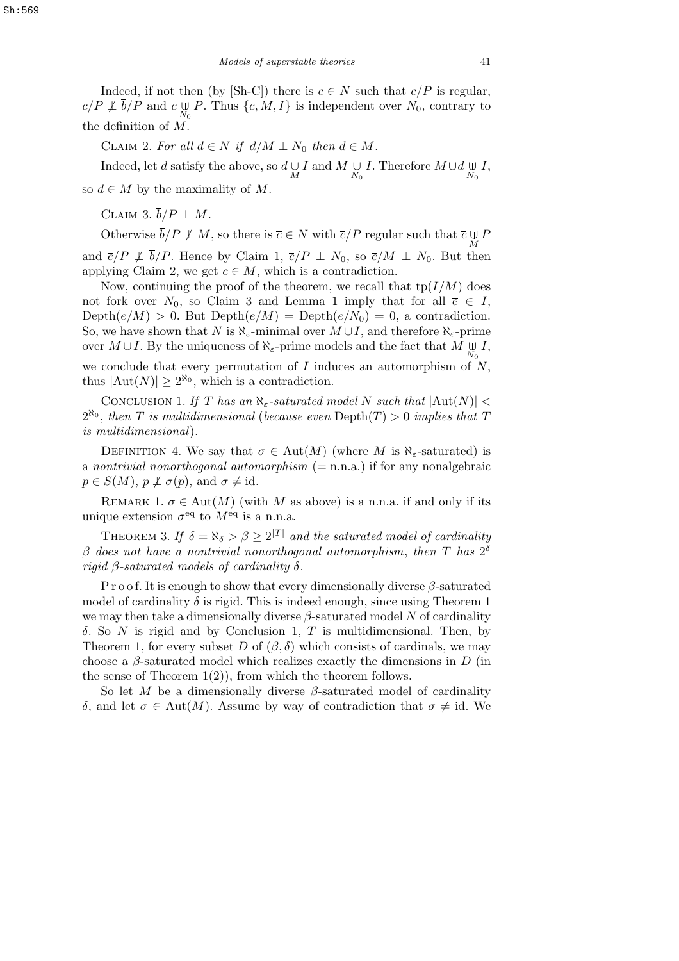Indeed, if not then (by [Sh-C]) there is  $\overline{c} \in N$  such that  $\overline{c}/P$  is regular,  $\overline{c}/P \not\perp \overline{b}/P$  and  $\overline{c} \cup_{N_0} P$ . Thus  $\{\overline{c}, M, I\}$  is independent over  $N_0$ , contrary to the definition of *M*.

CLAIM 2. For all  $\overline{d} \in N$  if  $\overline{d}/M \perp N_0$  then  $\overline{d} \in M$ .

 $\overline{d}$  let  $\overline{d}$  satisfy the above, so  $\overline{d} \underset{M}{\cup} I$  and  $M \underset{N_0}{\cup} I$ . Therefore  $M \cup \overline{d} \underset{N_0}{\cup} I$ ,

so  $\overline{d} \in M$  by the maximality of  $M$ .

 $CLAIM 3. \overline{b}/P \perp M$ .

Otherwise  $\overline{b}/P \not\perp M$ , so there is  $\overline{c} \in N$  with  $\overline{c}/P$  regular such that  $\overline{c} \cup P$ and  $\overline{c}/P \not\perp \overline{b}/P$ . Hence by Claim 1,  $\overline{c}/P \perp N_0$ , so  $\overline{c}/M \perp N_0$ . But then applying Claim 2, we get  $\overline{c} \in M$ , which is a contradiction.

Now, continuing the proof of the theorem, we recall that  $tp(I/M)$  does not fork over  $N_0$ , so Claim 3 and Lemma 1 imply that for all  $\overline{e} \in I$ ,  $Depth(\overline{e}/M) > 0$ . But  $Depth(\overline{e}/M) = Depth(\overline{e}/N_0) = 0$ , a contradiction. So, we have shown that *N* is  $\aleph_{\varepsilon}$ -minimal over  $M \cup I$ , and therefore  $\aleph_{\varepsilon}$ -prime over  $M \cup I$ . By the uniqueness of  $\aleph_{\varepsilon}$ -prime models and the fact that  $M \underset{N_0}{\cup} I$ , we conclude that every permutation of *I* induces an automorphism of *N*,

thus  $|\text{Aut}(N)| \geq 2^{\aleph_0}$ , which is a contradiction.

CONCLUSION 1. If T has an  $\aleph_{\epsilon}$ -saturated model N such that  $|\text{Aut}(N)| <$  $2^{\aleph_0}$ , then *T* is multidimensional (because even Depth(*T*) > 0 *implies that T is multidimensional*)*.*

DEFINITION 4. We say that  $\sigma \in Aut(M)$  (where M is  $\aleph_{\epsilon}$ -saturated) is a *nontrivial nonorthogonal automorphism* (= n.n.a.) if for any nonalgebraic  $p \in S(M)$ ,  $p \not\perp \sigma(p)$ , and  $\sigma \neq id$ .

REMARK 1.  $\sigma \in \text{Aut}(M)$  (with M as above) is a n.n.a. if and only if its unique extension  $\sigma^{\text{eq}}$  to  $M^{\text{eq}}$  is a n.n.a.

THEOREM 3. If  $\delta = \aleph_{\delta} > \beta \geq 2^{|T|}$  and the saturated model of cardinality *β does not have a nontrivial nonorthogonal automorphism*, *then T has* 2 *δ rigid*  $\beta$ -saturated models of cardinality  $\delta$ .

P r o o f. It is enough to show that every dimensionally diverse *β*-saturated model of cardinality  $\delta$  is rigid. This is indeed enough, since using Theorem 1 we may then take a dimensionally diverse  $\beta$ -saturated model N of cardinality *δ*. So *N* is rigid and by Conclusion 1, *T* is multidimensional. Then, by Theorem 1, for every subset *D* of  $(\beta, \delta)$  which consists of cardinals, we may choose a *β*-saturated model which realizes exactly the dimensions in *D* (in the sense of Theorem  $1(2)$ , from which the theorem follows.

So let *M* be a dimensionally diverse *β*-saturated model of cardinality *δ*, and let *σ*  $∈$  Aut(*M*). Assume by way of contradiction that *σ*  $≠$  id. We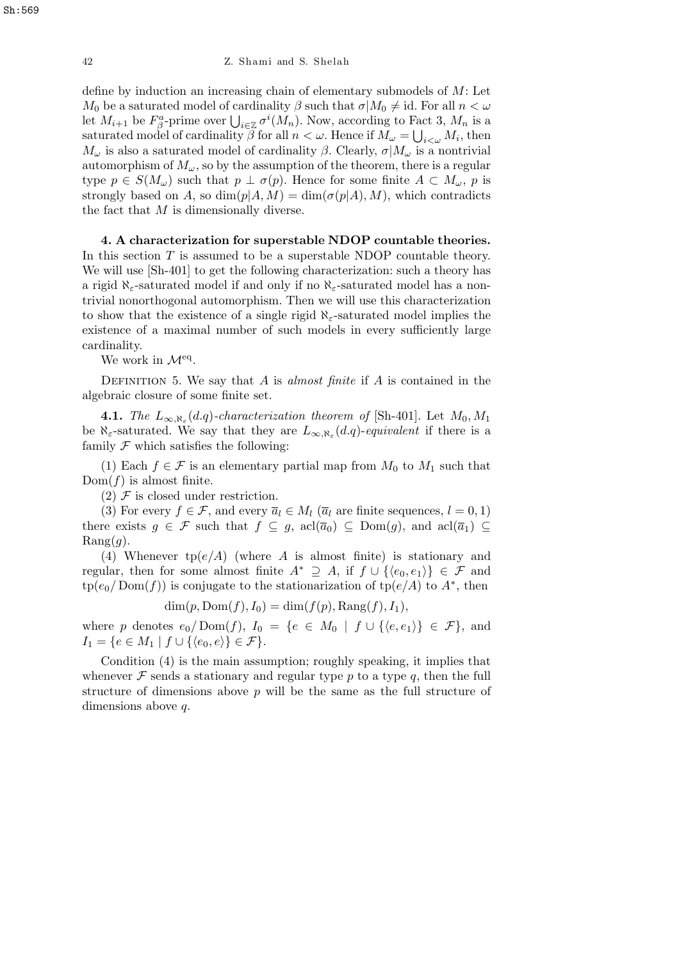define by induction an increasing chain of elementary submodels of *M*: Let *M*<sup>0</sup> be a saturated model of cardinality  $\beta$  such that  $\sigma | M_0 \neq id$ . For all  $n < \omega$ *M*<sup>0</sup> be a saturated model of cardinality *p* such that  $\sigma | M_0 \neq \text{Id}$ . For all  $n < \omega$ <br>let  $M_{i+1}$  be  $F_\beta^a$ -prime over  $\bigcup_{i \in \mathbb{Z}} \sigma^i(M_n)$ . Now, according to Fact 3,  $M_n$  is a saturated model of cardinality  $\beta$  for all  $n < \omega$ . Hence if  $M_{\omega} = \bigcup_{i < \omega} M_i$ , then *M*<sup> $\omega$ </sup> is also a saturated model of cardinality *β*. Clearly,  $\sigma$ *|M*<sup> $\omega$ </sup> is a nontrivial automorphism of  $M_\omega$ , so by the assumption of the theorem, there is a regular type  $p \in S(M_\omega)$  such that  $p \perp \sigma(p)$ . Hence for some finite  $A \subset M_\omega$ , p is strongly based on *A*, so  $\dim(p|A, M) = \dim(\sigma(p|A), M)$ , which contradicts the fact that *M* is dimensionally diverse.

**4. A characterization for superstable NDOP countable theories.** In this section *T* is assumed to be a superstable NDOP countable theory. We will use  $[Sh-401]$  to get the following characterization: such a theory has a rigid *ℵε*-saturated model if and only if no *ℵε*-saturated model has a nontrivial nonorthogonal automorphism. Then we will use this characterization to show that the existence of a single rigid  $\aleph_{\varepsilon}$ -saturated model implies the existence of a maximal number of such models in every sufficiently large cardinality.

We work in  $\mathcal{M}^{\text{eq}}$ .

DEFINITION 5. We say that *A* is *almost finite* if *A* is contained in the algebraic closure of some finite set.

**4.1.** *The*  $L_{\infty,\aleph_{\varepsilon}}(d,q)$ *-characterization theorem of* [Sh-401]. Let  $M_0, M_1$ be  $\aleph_{\varepsilon}$ -saturated. We say that they are  $L_{\infty,\aleph_{\varepsilon}}(d,q)$ -equivalent if there is a family  $F$  which satisfies the following:

(1) Each  $f \in \mathcal{F}$  is an elementary partial map from  $M_0$  to  $M_1$  such that  $Dom(f)$  is almost finite.

 $(2)$  *F* is closed under restriction.

(3) For every  $f \in \mathcal{F}$ , and every  $\overline{a}_l \in M_l$  ( $\overline{a}_l$  are finite sequences,  $l = 0, 1$ ) there exists  $g \in \mathcal{F}$  such that  $f \subseteq g$ ,  $\text{acl}(\overline{a}_0) \subseteq \text{Dom}(g)$ , and  $\text{acl}(\overline{a}_1) \subseteq$  $\text{Rang}(q)$ .

(4) Whenever  $tp(e/A)$  (where *A* is almost finite) is stationary and regular, then for some almost finite  $A^* \supseteq A$ , if  $f \cup \{ \langle e_0, e_1 \rangle \} \in \mathcal{F}$  and  $\text{tp}(e_0/\text{Dom}(f))$  is conjugate to the stationarization of  $\text{tp}(e/A)$  to  $A^*$ , then

 $\dim(p, \text{Dom}(f), I_0) = \dim(f(p), \text{Rang}(f), I_1),$ 

where *p* denotes  $e_0 / \text{Dom}(f)$ ,  $I_0 = \{e \in M_0 \mid f \cup \{ \langle e, e_1 \rangle \} \in \mathcal{F} \}$ , and *I*<sub>1</sub> = { $e \in M_1 \mid f \cup \{ \langle e_0, e \rangle \} \in \mathcal{F}$  }.

Condition (4) is the main assumption; roughly speaking, it implies that whenever  $\mathcal F$  sends a stationary and regular type  $p$  to a type  $q$ , then the full structure of dimensions above *p* will be the same as the full structure of dimensions above *q*.

Sh:569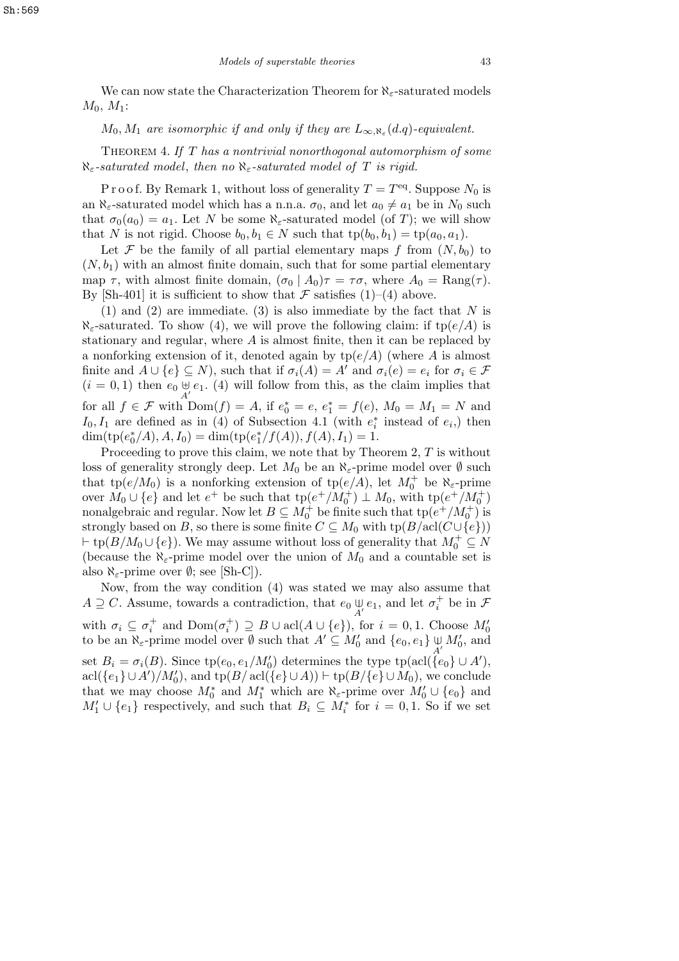We can now state the Characterization Theorem for *ℵε*-saturated models *M*0*, M*1:

## *M*<sub>0</sub>*, M*<sub>1</sub> *are isomorphic if and only if they are*  $L_{\infty, \aleph_{\varepsilon}}(d.q)$ *-equivalent.*

Theorem 4. *If T has a nontrivial nonorthogonal automorphism of some ℵε-saturated model*, *then no ℵε-saturated model of T is rigid.*

P r o o f. By Remark 1, without loss of generality  $T = T<sup>eq</sup>$ . Suppose  $N_0$  is an  $\aleph_{\varepsilon}$ -saturated model which has a n.n.a.  $\sigma_0$ , and let  $a_0 \neq a_1$  be in  $N_0$  such that  $\sigma_0(a_0) = a_1$ . Let *N* be some  $\aleph_{\varepsilon}$ -saturated model (of *T*); we will show that *N* is not rigid. Choose  $b_0, b_1 \in N$  such that  $tp(b_0, b_1) = tp(a_0, a_1)$ .

Let  $\mathcal F$  be the family of all partial elementary maps  $f$  from  $(N, b_0)$  to  $(N, b_1)$  with an almost finite domain, such that for some partial elementary map  $\tau$ , with almost finite domain,  $(\sigma_0 | A_0)\tau = \tau\sigma$ , where  $A_0 = \text{Rang}(\tau)$ . By [Sh-401] it is sufficient to show that  $\mathcal F$  satisfies (1)–(4) above.

(1) and (2) are immediate. (3) is also immediate by the fact that *N* is  $\aleph_{\epsilon}$ -saturated. To show (4), we will prove the following claim: if tp( $e/A$ ) is stationary and regular, where *A* is almost finite, then it can be replaced by a nonforking extension of it, denoted again by tp(*e/A*) (where *A* is almost finite and  $A \cup \{e\} \subseteq N$ ), such that if  $\sigma_i(A) = A'$  and  $\sigma_i(e) = e_i$  for  $\sigma_i \in \mathcal{F}$  $(i = 0, 1)$  then  $e_0 \oplus e_1$ . (4) will follow from this, as the claim implies that for all  $f \in \mathcal{F}$  with  $Dom(f) = A$ , if  $e_0^* = e$ ,  $e_1^* = f(e)$ ,  $M_0 = M_1 = N$  and *I*<sub>0</sub>, *I*<sub>1</sub> are defined as in (4) of Subsection 4.1 (with  $e_i^*$  instead of  $e_i$ ) then  $dim(tp(e_0^*/A), A, I_0) = dim(tp(e_1^*/f(A)), f(A), I_1) = 1.$ 

Proceeding to prove this claim, we note that by Theorem 2, *T* is without loss of generality strongly deep. Let  $M_0$  be an  $\aleph_{\varepsilon}$ -prime model over  $\emptyset$  such that tp $(e/M_0)$  is a nonforking extension of tp $(e/A)$ , let  $M_0^+$  be  $\aleph_{\varepsilon}$ -prime over  $\overline{M_0} \cup \{e\}$  and let  $e^+$  be such that  $tp(e^+/\overline{M_0^+}) \perp M_0$ , with  $tp(e^+/\overline{M_0^+})$ nonalgebraic and regular. Now let  $B \subseteq M_0^+$  be finite such that  $tp(e^+ / M_0^+)$  is strongly based on *B*, so there is some finite  $C \subseteq M_0$  with  $tp(B/\text{acl}(C \cup \{e\}))$  $\dagger$  tp(*B/M*<sub>0</sub>  $\cup$  {*e*}). We may assume without loss of generality that  $M_0^+ \subseteq N$ (because the  $\aleph_{\varepsilon}$ -prime model over the union of  $M_0$  and a countable set is also  $\aleph_{\varepsilon}$ -prime over  $\emptyset$ ; see [Sh-C]).

Now, from the way condition (4) was stated we may also assume that  $A \supseteq C$ . Assume, towards a contradiction, that  $e_0 \underset{A'}{\cup} e_1$ , and let  $\sigma_i^+$  be in  $\mathcal F$ with  $\sigma_i \subseteq \sigma_i^+$  and  $\text{Dom}(\sigma_i^+) \supseteq B \cup \text{acl}(A \cup \{e\})$ , for  $i = 0, 1$ . Choose  $M'_0$  to be an  $\aleph_{\varepsilon}$ -prime model over  $\emptyset$  such that  $A' \subseteq M'_0$  and  $\{e_0, e_1\} \underset{A'}{\cup} M'_0$ , and set  $B_i = \sigma_i(B)$ . Since  $tp(e_0, e_1/M_0')$  determines the type  $tp(\text{acl}(\{e_0\} \cup A'),$  $\text{acl}(\{e_1\} \cup A')/M_0'$ , and  $\text{tp}(B/\text{acl}(\{e\} \cup A)) \vdash \text{tp}(B/\{e\} \cup M_0)$ , we conclude that we may choose  $M_0^*$  and  $M_1^*$  which are  $\aleph_{\varepsilon}$ -prime over  $M_0' \cup \{e_0\}$  and  $M'_1 \cup \{e_1\}$  respectively, and such that  $B_i \subseteq M_i^*$  for  $i = 0, 1$ . So if we set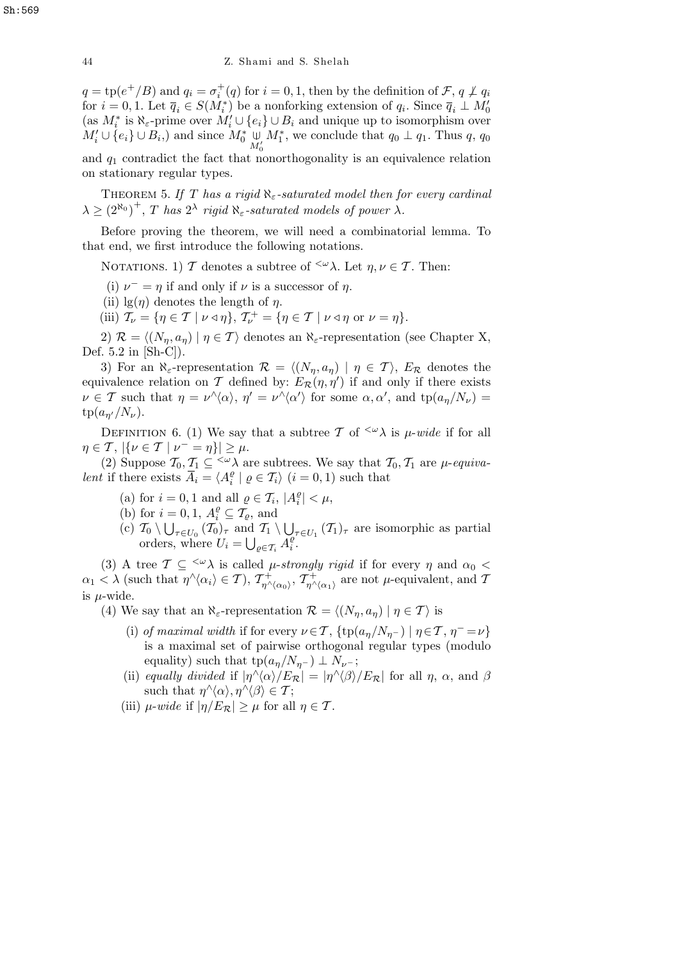$q = \text{tp}(e^+/B)$  and  $q_i = \sigma_i^+(q)$  for  $i = 0, 1$ , then by the definition of  $\mathcal{F}, q \not\perp q_i$ for  $i = 0, 1$ . Let  $\overline{q}_i \in S(M_i^*)$  be a nonforking extension of  $q_i$ . Since  $\overline{q}_i \perp M_0'$  $\{as M_i^* \text{ is } \aleph_{\varepsilon}\text{-prime over } M_i' \cup \{e_i\} \cup B_i \text{ and unique up to isomorphism over } \exists e_i \in A_i' \}$  $M'_{i} \cup \{e_i\} \cup B_i$ , and since  $M^*_{0} \underset{M'_{0}}{\cup}$  $M_1^*$ , we conclude that  $q_0 \perp q_1$ . Thus  $q$ ,  $q_0$ and  $q_1$  contradict the fact that nonorthogonality is an equivalence relation

on stationary regular types.

Theorem 5. *If T has a rigid ℵε-saturated model then for every cardinal*  $\lambda \geq (2^{\aleph_0})^+$ , *T has*  $2^{\lambda}$  *rigid*  $\aleph_{\varepsilon}$ *-saturated models of power*  $\lambda$ *.* 

Before proving the theorem, we will need a combinatorial lemma. To that end, we first introduce the following notations.

NOTATIONS. 1) *T* denotes a subtree of <sup> $\langle \omega \rangle$ </sup>λ. Let *η, ν*  $\in$  *T*. Then:

- (i)  $\nu^- = \eta$  if and only if  $\nu$  is a successor of  $\eta$ .
- (ii)  $\lg(\eta)$  denotes the length of  $\eta$ .
- (iii)  $\mathcal{T}_{\nu} = \{ \eta \in \mathcal{T} \mid \nu \triangleleft \eta \}, \ \mathcal{T}_{\nu}^{+} = \{ \eta \in \mathcal{T} \mid \nu \triangleleft \eta \text{ or } \nu = \eta \}.$

2)  $\mathcal{R} = \langle (N_n, a_n) | \eta \in \mathcal{T} \rangle$  denotes an  $\aleph_{\varepsilon}$ -representation (see Chapter X, Def. 5.2 in [Sh-C]).

3) For an  $\aleph_{\varepsilon}$ -representation  $\mathcal{R} = \langle (N_{\eta}, a_{\eta}) \mid \eta \in \mathcal{T} \rangle$ ,  $E_{\mathcal{R}}$  denotes the equivalence relation on *T* defined by:  $E_{\mathcal{R}}(\eta, \eta')$  if and only if there exists  $\nu \in \mathcal{T}$  such that  $\eta = \nu^{\wedge}\langle \alpha \rangle$ ,  $\eta' = \nu^{\wedge}\langle \alpha' \rangle$  for some  $\alpha, \alpha'$ , and  $tp(a_{\eta}/N_{\nu}) =$  $tp(a_{n'}/N_{\nu}).$ 

DEFINITION 6. (1) We say that a subtree *T* of <sup> $\langle \omega \rangle$ </sup> is *µ*-*wide* if for all  $\eta \in \mathcal{T}, \ |\{\nu \in \mathcal{T} \mid \nu^{-} = \eta\}| \geq \mu.$ 

(2) Suppose  $\mathcal{T}_0, \mathcal{T}_1 \subseteq \langle \omega \rangle$  are subtrees. We say that  $\mathcal{T}_0, \mathcal{T}_1$  are  $\mu$ -*equivalent* if there exists  $\overline{A}_i = \langle A_i^{\varrho} \rangle$  $\binom{e}{i}$   $\downarrow$   $\varrho \in \mathcal{T}_i$   $(i = 0, 1)$  such that

- (a) for  $i = 0, 1$  and all  $\varrho \in \mathcal{T}_i$ ,  $|A_i^{\varrho}|$  $\left| \frac{\varrho}{i} \right| < \mu$ ,
- (b) for  $i = 0, 1, A_i^{\varrho} \subseteq \overline{T_\varrho}$ , and
- (c)  $\mathcal{T}_0 \setminus \bigcup_{\tau \in U_0} (\mathcal{T}_0)_{\tau}$  and  $\mathcal{T}_1 \setminus$ S  $\tau \in U_1$  (*T*<sub>1</sub>)<sub>*τ*</sub> are isomorphic as partial orders, where  $U_i =$ ם.<br>י  $e ∈ T_i$ <sup> $A_i^{\varrho}$ </sup> *i* .

(3) A tree  $T \subseteq \langle \omega \rangle$  is called *µ-strongly rigid* if for every  $\eta$  and  $\alpha_0$  <  $\alpha_1 < \lambda$  (such that  $\eta^{\wedge} \langle \alpha_i \rangle \in \mathcal{T}$ ),  $\mathcal{T}^+_{\eta^{\wedge} \langle \alpha_0 \rangle}$ ,  $\mathcal{T}^+_{\eta^{\wedge} \langle \alpha_1 \rangle}$  are not  $\mu$ -equivalent, and T is *µ*-wide.

(4) We say that an  $\aleph_{\varepsilon}$ -representation  $\mathcal{R} = \langle (N_{\eta}, a_{\eta}) \mid \eta \in \mathcal{T} \rangle$  is

- (i) *of maximal width* if for every  $\nu \in \mathcal{T}$ ,  $\{ \text{tp}(a_{\eta}/N_{\eta^-}) \mid \eta \in \mathcal{T}$ ,  $\eta^- = \nu \}$ is a maximal set of pairwise orthogonal regular types (modulo equality) such that  $tp(a_n/N_{n-}) \perp N_{\nu-}$ ;
- (ii) *equally divided* if  $|\eta^{\wedge}\langle\alpha\rangle/E_{\mathcal{R}}| = |\eta^{\wedge}\langle\beta\rangle/E_{\mathcal{R}}|$  for all  $\eta$ ,  $\alpha$ , and  $\beta$ such that  $\eta^{\wedge}\langle\alpha\rangle, \eta^{\wedge}\langle\beta\rangle \in \mathcal{T}$ ;
- (iii)  $\mu$ -*wide* if  $|\eta/E_{\mathcal{R}}| \geq \mu$  for all  $\eta \in \mathcal{T}$ .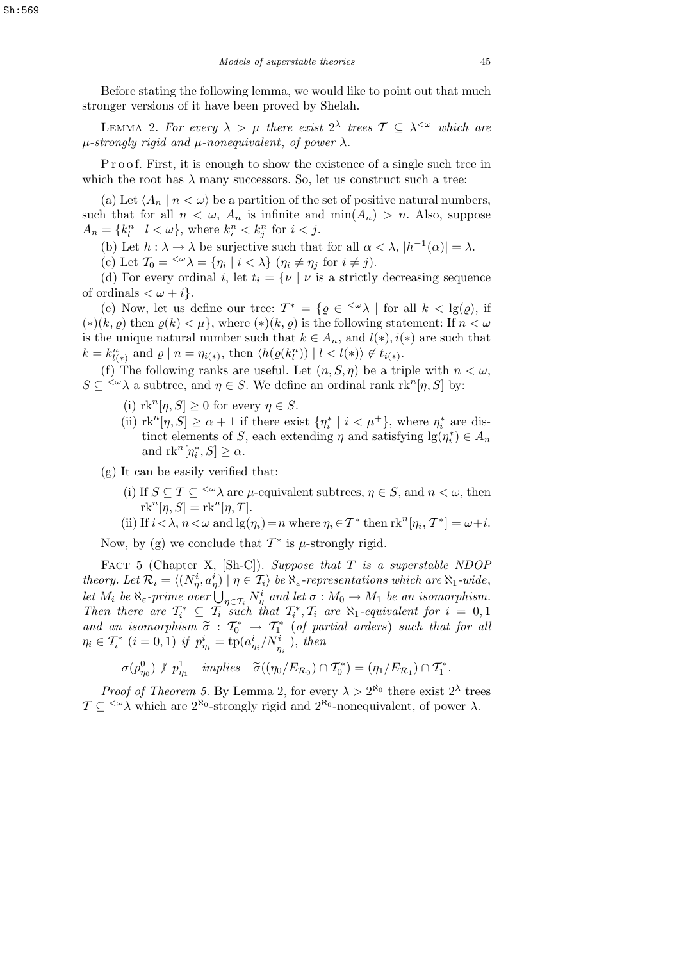Before stating the following lemma, we would like to point out that much stronger versions of it have been proved by Shelah.

LEMMA 2. For every  $\lambda > \mu$  there exist  $2^{\lambda}$  trees  $\mathcal{T} \subseteq \lambda^{\leq \omega}$  which are *µ-strongly rigid and µ-nonequivalent*, *of power λ.*

P r o o f. First, it is enough to show the existence of a single such tree in which the root has  $\lambda$  many successors. So, let us construct such a tree:

(a) Let  $\langle A_n | n \langle \omega \rangle$  be a partition of the set of positive natural numbers, such that for all  $n < \omega$ ,  $A_n$  is infinite and  $\min(A_n) > n$ . Also, suppose  $A_n = \{k_l^n \mid l < \omega\}$ , where  $k_i^n < k_j^n$  for  $i < j$ .

(b) Let  $h : \lambda \to \lambda$  be surjective such that for all  $\alpha < \lambda$ ,  $|h^{-1}(\alpha)| = \lambda$ .

(c) Let  $\mathcal{T}_0 = \langle \omega \rangle = {\eta_i | i \langle \lambda \rangle \left( \eta_i \neq \eta_j \text{ for } i \neq j \right)}.$ 

(d) For every ordinal *i*, let  $t_i = \{v \mid v \text{ is a strictly decreasing sequence} \}$ of ordinals  $\langle \omega + i \rangle$ .

(e) Now, let us define our tree:  $T^* = \{ \varrho \in \langle \omega \rangle \mid \text{ for all } k < \lg(\varrho), \text{ if }$  $(*)(k, \rho)$  then  $\rho(k) < \mu$ , where  $(*)(k, \rho)$  is the following statement: If  $n < \omega$ is the unique natural number such that  $k \in A_n$ , and  $l(*)$ ,  $i(*)$  are such that  $k = k_{l(*)}^n$  and  $\varrho \mid n = \eta_{i(*)}$ , then  $\langle h(\varrho(k_l^n)) \mid l < l(*) \rangle \notin t_{i(*)}$ .

(f) The following ranks are useful. Let  $(n, S, \eta)$  be a triple with  $n < \omega$ ,  $S \subseteq \langle \omega \rangle$  a subtree, and  $\eta \in S$ . We define an ordinal rank rk<sup>n</sup>[*η, S*] by:

- (i)  $\text{rk}^n[\eta, S] \geq 0$  for every  $\eta \in S$ .
- (ii)  $\text{rk}^n[\eta, S] \ge \alpha + 1$  if there exist  $\{\eta_i^* \mid i < \mu^+\}$ , where  $\eta_i^*$  are distinct elements of *S*, each extending  $\eta$  and satisfying  $\lg(\eta_i^*) \in A_n$ and  $\text{rk}^n[\eta_i^*, S] \ge \alpha$ .

(g) It can be easily verified that:

- (i) If  $S \subseteq T \subseteq \langle \omega \rangle$  are  $\mu$ -equivalent subtrees,  $\eta \in S$ , and  $n < \omega$ , then  $\mathrm{rk}^n[\eta,S]=\mathrm{rk}^n[\eta,T].$
- (ii) If  $i < \lambda$ ,  $n < \omega$  and  $\lg(\eta_i) = n$  where  $\eta_i \in \mathcal{T}^*$  then  $\text{rk}^n[\eta_i, \mathcal{T}^*] = \omega + i$ .

Now, by (g) we conclude that  $T^*$  is  $\mu$ -strongly rigid.

Fact 5 (Chapter X, [Sh-C]). *Suppose that T is a superstable NDOP* theory. Let  $\mathcal{R}_i = \langle (N^i_{\eta}, a^i_{\eta}) \mid \eta \in \mathcal{T}_i \rangle$  be  $\aleph_{\varepsilon}$ -representations which are  $\aleph_1$ -wide, *let*  $M_i$  *be*  $\aleph_{\varepsilon}$ -prime over  $\bigcup_{\eta \in \mathcal{T}_i} N_{\eta}^i$  and let  $\sigma : M_0 \to M_1$  be an isomorphism. *Then there are*  $T_i^* \subseteq T_i$  *such that*  $T_i^*, T_i$  *are*  $\aleph_1$ *-equivalent for*  $i = 0, 1$ *and an isomorphism*  $\tilde{\sigma}$  :  $T_0^*$   $\rightarrow$   $T_1^*$  (of partial orders) such that for all  $\eta_i \in \mathcal{T}_i^*$  (*i* = 0, 1) *if*  $p_{\eta_i}^i = \text{tp}(a_{\eta_i}^i/N_{\eta_i}^i)$ , then

$$
\sigma(p_{\eta_0}^0) \not\perp p_{\eta_1}^1 \quad implies \quad \widetilde{\sigma}((\eta_0/E_{\mathcal{R}_0}) \cap T_0^*) = (\eta_1/E_{\mathcal{R}_1}) \cap T_1^*.
$$

*Proof of Theorem 5.* By Lemma 2, for every  $\lambda > 2^{\aleph_0}$  there exist  $2^{\lambda}$  trees  $\mathcal{T} \subseteq \langle \omega \rangle$  which are  $2^{\aleph_0}$ -strongly rigid and  $2^{\aleph_0}$ -nonequivalent, of power  $\lambda$ .